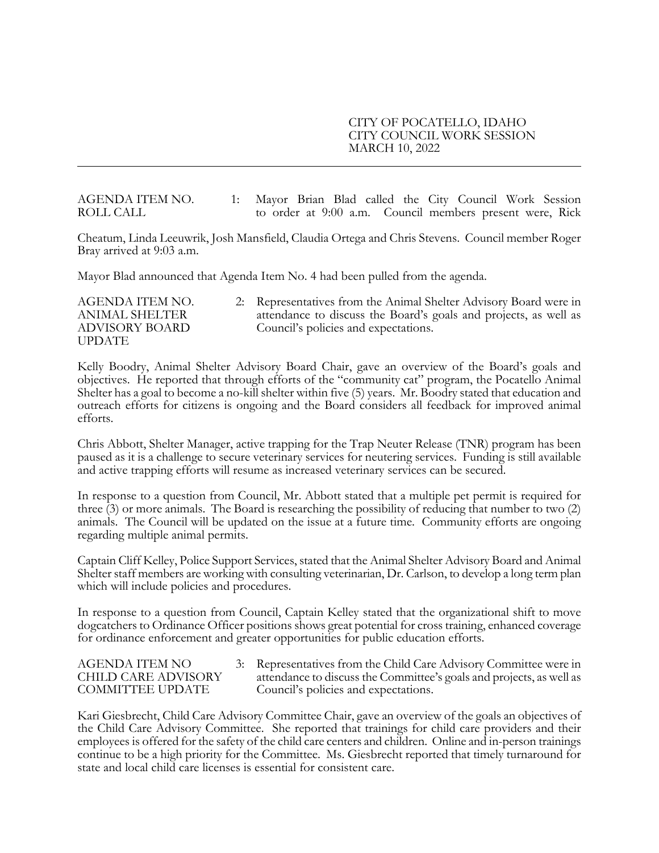#### CITY OF POCATELLO, IDAHO CITY COUNCIL WORK SESSION MARCH 10, 2022

AGENDA ITEM NO. 1: Mayor Brian Blad called the City Council Work Session ROLL CALL to order at 9:00 a.m. Council members present were, Rick

Cheatum, Linda Leeuwrik, Josh Mansfield, Claudia Ortega and Chris Stevens. Council member Roger Bray arrived at 9:03 a.m.

Mayor Blad announced that Agenda Item No. 4 had been pulled from the agenda.

UPDATE

AGENDA ITEM NO. 2: Representatives from the Animal Shelter Advisory Board were in ANIMAL SHELTER attendance to discuss the Board's goals and projects, as well as ADVISORY BOARD Council's policies and expectations.

Kelly Boodry, Animal Shelter Advisory Board Chair, gave an overview of the Board's goals and objectives. He reported that through efforts of the "community cat" program, the Pocatello Animal Shelter has a goal to become a no-kill shelter within five (5) years. Mr. Boodry stated that education and outreach efforts for citizens is ongoing and the Board considers all feedback for improved animal efforts.

Chris Abbott, Shelter Manager, active trapping for the Trap Neuter Release (TNR) program has been paused as it is a challenge to secure veterinary services for neutering services. Funding is still available and active trapping efforts will resume as increased veterinary services can be secured.

In response to a question from Council, Mr. Abbott stated that a multiple pet permit is required for three (3) or more animals. The Board is researching the possibility of reducing that number to two (2) animals. The Council will be updated on the issue at a future time. Community efforts are ongoing regarding multiple animal permits.

Captain Cliff Kelley, Police Support Services, stated that the Animal Shelter Advisory Board and Animal Shelter staff members are working with consulting veterinarian, Dr. Carlson, to develop a long term plan which will include policies and procedures.

In response to a question from Council, Captain Kelley stated that the organizational shift to move dogcatchers to Ordinance Officer positions shows great potential for cross training, enhanced coverage for ordinance enforcement and greater opportunities for public education efforts.

AGENDA ITEM NO 3: Representatives from the Child Care Advisory Committee were in CHILD CARE ADVISORY attendance to discuss the Committee's goals and projects, as well as COMMITTEE UPDATE Council's policies and expectations.

Kari Giesbrecht, Child Care Advisory Committee Chair, gave an overview of the goals an objectives of the Child Care Advisory Committee. She reported that trainings for child care providers and their employees is offered for the safety of the child care centers and children. Online and in-person trainings continue to be a high priority for the Committee. Ms. Giesbrecht reported that timely turnaround for state and local child care licenses is essential for consistent care.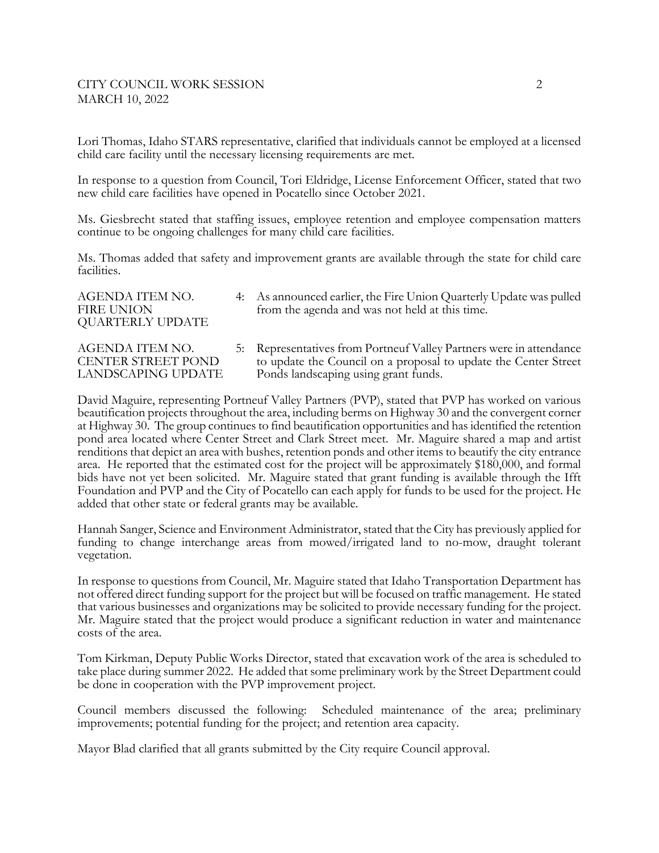# CITY COUNCIL WORK SESSION 2 MARCH 10, 2022

Lori Thomas, Idaho STARS representative, clarified that individuals cannot be employed at a licensed child care facility until the necessary licensing requirements are met.

In response to a question from Council, Tori Eldridge, License Enforcement Officer, stated that two new child care facilities have opened in Pocatello since October 2021.

Ms. Giesbrecht stated that staffing issues, employee retention and employee compensation matters continue to be ongoing challenges for many child care facilities.

Ms. Thomas added that safety and improvement grants are available through the state for child care facilities.

| AGENDA ITEM NO.<br>FIRE UNION<br>QUARTERLY UPDATE | 4: As announced earlier, the Fire Union Quarterly Update was pulled<br>from the agenda and was not held at this time. |
|---------------------------------------------------|-----------------------------------------------------------------------------------------------------------------------|
|                                                   |                                                                                                                       |

AGENDA ITEM NO. 5: Representatives from Portneuf Valley Partners were in attendance CENTER STREET POND to update the Council on a proposal to update the Center Street LANDSCAPING UPDATE Ponds landscaping using grant funds.

David Maguire, representing Portneuf Valley Partners (PVP), stated that PVP has worked on various beautification projects throughout the area, including berms on Highway 30 and the convergent corner at Highway 30. The group continues to find beautification opportunities and has identified the retention pond area located where Center Street and Clark Street meet. Mr. Maguire shared a map and artist renditions that depict an area with bushes, retention ponds and other items to beautify the city entrance area. He reported that the estimated cost for the project will be approximately \$180,000, and formal bids have not yet been solicited. Mr. Maguire stated that grant funding is available through the Ifft Foundation and PVP and the City of Pocatello can each apply for funds to be used for the project. He added that other state or federal grants may be available.

Hannah Sanger, Science and Environment Administrator, stated that the City has previously applied for funding to change interchange areas from mowed/irrigated land to no-mow, draught tolerant vegetation.

In response to questions from Council, Mr. Maguire stated that Idaho Transportation Department has not offered direct funding support for the project but will be focused on traffic management. He stated that various businesses and organizations may be solicited to provide necessary funding for the project. Mr. Maguire stated that the project would produce a significant reduction in water and maintenance costs of the area.

Tom Kirkman, Deputy Public Works Director, stated that excavation work of the area is scheduled to take place during summer 2022. He added that some preliminary work by the Street Department could be done in cooperation with the PVP improvement project.

Council members discussed the following: Scheduled maintenance of the area; preliminary improvements; potential funding for the project; and retention area capacity.

Mayor Blad clarified that all grants submitted by the City require Council approval.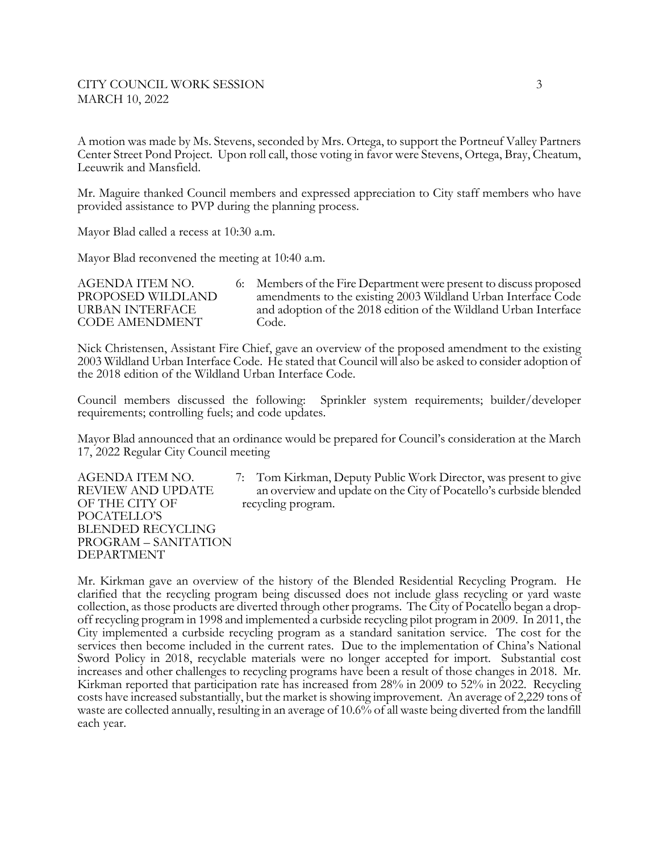# CITY COUNCIL WORK SESSION 3 MARCH 10, 2022

A motion was made by Ms. Stevens, seconded by Mrs. Ortega, to support the Portneuf Valley Partners Center Street Pond Project. Upon roll call, those voting in favor were Stevens, Ortega, Bray, Cheatum, Leeuwrik and Mansfield.

Mr. Maguire thanked Council members and expressed appreciation to City staff members who have provided assistance to PVP during the planning process.

Mayor Blad called a recess at 10:30 a.m.

Mayor Blad reconvened the meeting at 10:40 a.m.

AGENDA ITEM NO. 6: Members of the Fire Department were present to discuss proposed PROPOSED WILDLAND amendments to the existing 2003 Wildland Urban Interface Code URBAN INTERFACE and adoption of the 2018 edition of the Wildland Urban Interface CODE AMENDMENT Code.

Nick Christensen, Assistant Fire Chief, gave an overview of the proposed amendment to the existing 2003 Wildland Urban Interface Code. He stated that Council will also be asked to consider adoption of the 2018 edition of the Wildland Urban Interface Code.

Council members discussed the following: Sprinkler system requirements; builder/developer requirements; controlling fuels; and code updates.

Mayor Blad announced that an ordinance would be prepared for Council's consideration at the March 17, 2022 Regular City Council meeting

OF THE CITY OF recycling program. POCATELLO'S BLENDED RECYCLING PROGRAM – SANITATION DEPARTMENT

AGENDA ITEM NO. 7: Tom Kirkman, Deputy Public Work Director, was present to give REVIEW AND UPDATE an overview and update on the City of Pocatello's curbside blended

Mr. Kirkman gave an overview of the history of the Blended Residential Recycling Program. He clarified that the recycling program being discussed does not include glass recycling or yard waste collection, as those products are diverted through other programs. The City of Pocatello began a dropoff recycling program in 1998 and implemented a curbside recycling pilot program in 2009. In 2011, the City implemented a curbside recycling program as a standard sanitation service. The cost for the services then become included in the current rates. Due to the implementation of China's National Sword Policy in 2018, recyclable materials were no longer accepted for import. Substantial cost increases and other challenges to recycling programs have been a result of those changes in 2018. Mr. Kirkman reported that participation rate has increased from 28% in 2009 to 52% in 2022. Recycling costs have increased substantially, but the market is showing improvement. An average of 2,229 tons of waste are collected annually, resulting in an average of 10.6% of all waste being diverted from the landfill each year.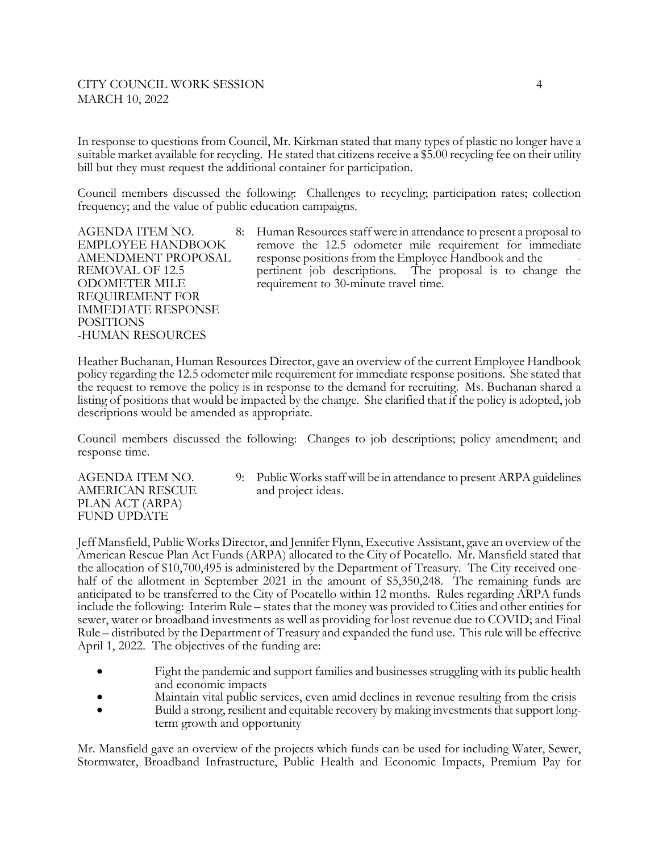# CITY COUNCIL WORK SESSION 4 MARCH 10, 2022

In response to questions from Council, Mr. Kirkman stated that many types of plastic no longer have a suitable market available for recycling. He stated that citizens receive a \$5.00 recycling fee on their utility bill but they must request the additional container for participation.

Council members discussed the following: Challenges to recycling; participation rates; collection frequency; and the value of public education campaigns.

REQUIREMENT FOR IMMEDIATE RESPONSE POSITIONS -HUMAN RESOURCES

AGENDA ITEM NO. 8: Human Resources staff were in attendance to present a proposal to EMPLOYEE HANDBOOK remove the 12.5 odometer mile requirement for immediate AMENDMENT PROPOSAL response positions from the Employee Handbook and the REMOVAL OF 12.5 pertinent job descriptions. The proposal is to change the ODOMETER MILE requirement to 30-minute travel time.

Heather Buchanan, Human Resources Director, gave an overview of the current Employee Handbook policy regarding the 12.5 odometer mile requirement for immediate response positions. She stated that the request to remove the policy is in response to the demand for recruiting. Ms. Buchanan shared a listing of positions that would be impacted by the change. She clarified that if the policy is adopted, job descriptions would be amended as appropriate.

Council members discussed the following: Changes to job descriptions; policy amendment; and response time.

AMERICAN RESCUE and project ideas. PLAN ACT (ARPA) FUND UPDATE

AGENDA ITEM NO. 9: Public Works staff will be in attendance to present ARPA guidelines

Jeff Mansfield, Public Works Director, and Jennifer Flynn, Executive Assistant, gave an overview of the American Rescue Plan Act Funds (ARPA) allocated to the City of Pocatello. Mr. Mansfield stated that the allocation of \$10,700,495 is administered by the Department of Treasury. The City received onehalf of the allotment in September 2021 in the amount of \$5,350,248. The remaining funds are anticipated to be transferred to the City of Pocatello within 12 months. Rules regarding ARPA funds include the following: Interim Rule – states that the money was provided to Cities and other entities for sewer, water or broadband investments as well as providing for lost revenue due to COVID; and Final Rule – distributed by the Department of Treasury and expanded the fund use. This rule will be effective April 1, 2022. The objectives of the funding are:

- Fight the pandemic and support families and businesses struggling with its public health and economic impacts
- Maintain vital public services, even amid declines in revenue resulting from the crisis
- Build a strong, resilient and equitable recovery by making investments that support longterm growth and opportunity

Mr. Mansfield gave an overview of the projects which funds can be used for including Water, Sewer, Stormwater, Broadband Infrastructure, Public Health and Economic Impacts, Premium Pay for